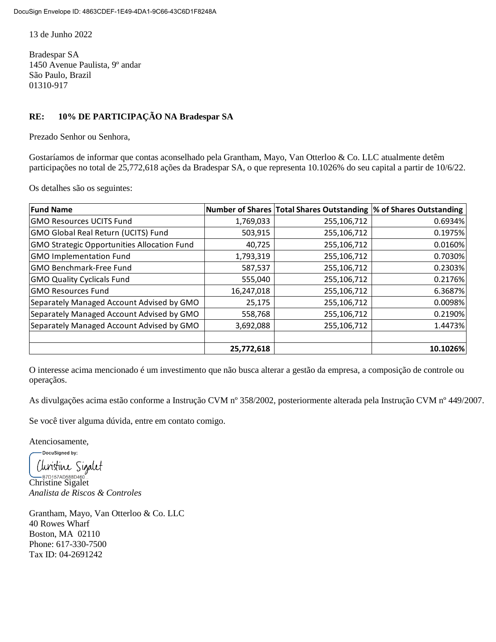13 de Junho 2022

Bradespar SA 1450 Avenue Paulista, 9º andar São Paulo, Brazil 01310-917

## **RE: 10% DE PARTICIPAÇÃO NA Bradespar SA**

Prezado Senhor ou Senhora,

Gostaríamos de informar que contas aconselhado pela Grantham, Mayo, Van Otterloo & Co. LLC atualmente detêm participações no total de 25,772,618 ações da Bradespar SA, o que representa 10.1026% do seu capital a partir de 10/6/22.

Os detalhes são os seguintes:

| <b>Fund Name</b>                                   |            | Number of Shares   Total Shares Outstanding  % of Shares Outstanding |          |
|----------------------------------------------------|------------|----------------------------------------------------------------------|----------|
| <b>GMO Resources UCITS Fund</b>                    | 1,769,033  | 255,106,712                                                          | 0.6934%  |
| <b>GMO Global Real Return (UCITS) Fund</b>         | 503,915    | 255,106,712                                                          | 0.1975%  |
| <b>GMO Strategic Opportunities Allocation Fund</b> | 40,725     | 255,106,712                                                          | 0.0160%  |
| <b>GMO Implementation Fund</b>                     | 1,793,319  | 255,106,712                                                          | 0.7030%  |
| <b>GMO Benchmark-Free Fund</b>                     | 587,537    | 255,106,712                                                          | 0.2303%  |
| <b>GMO Quality Cyclicals Fund</b>                  | 555,040    | 255,106,712                                                          | 0.2176%  |
| <b>GMO Resources Fund</b>                          | 16,247,018 | 255,106,712                                                          | 6.3687%  |
| Separately Managed Account Advised by GMO          | 25,175     | 255,106,712                                                          | 0.0098%  |
| Separately Managed Account Advised by GMO          | 558,768    | 255,106,712                                                          | 0.2190%  |
| Separately Managed Account Advised by GMO          | 3,692,088  | 255,106,712                                                          | 1.4473%  |
|                                                    |            |                                                                      |          |
|                                                    | 25,772,618 |                                                                      | 10.1026% |

O interesse acima mencionado é um investimento que não busca alterar a gestão da empresa, a composição de controle ou operaçãos.

As divulgações acima estão conforme a Instrução CVM nº 358/2002, posteriormente alterada pela Instrução CVM nº 449/2007.

Se você tiver alguma dúvida, entre em contato comigo.

Atenciosamente,

DocuSigned by: Clinistine Sigalet B<sub>PD157AD588D460</sub>

*Analista de Riscos & Controles*

Grantham, Mayo, Van Otterloo & Co. LLC 40 Rowes Wharf Boston, MA 02110 Phone: 617-330-7500 Tax ID: 04-2691242